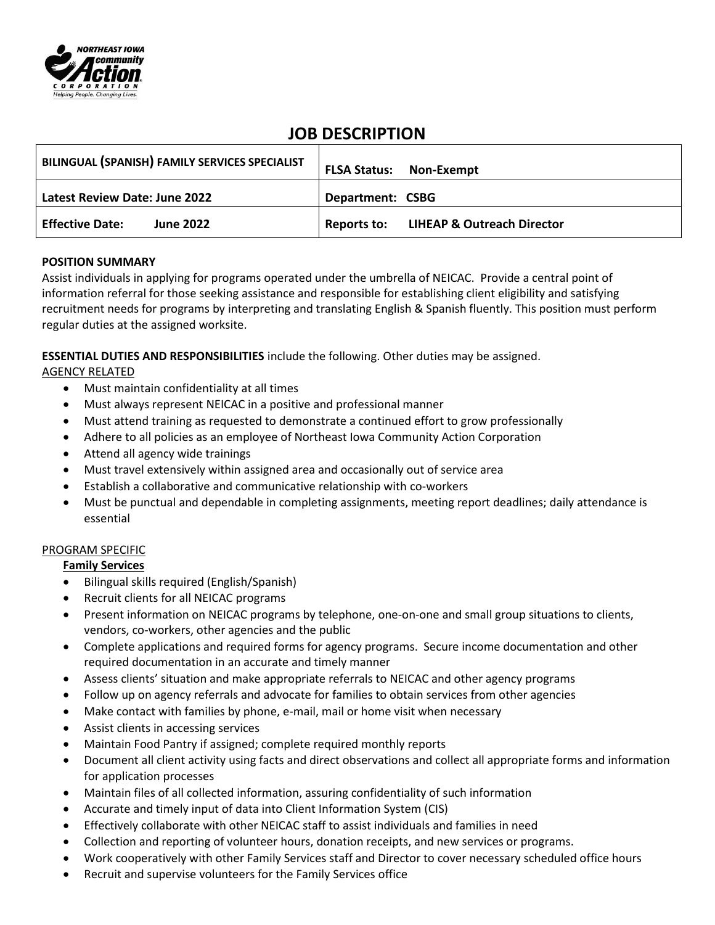

# **JOB DESCRIPTION**

| BILINGUAL (SPANISH) FAMILY SERVICES SPECIALIST | <b>FLSA Status: Non-Exempt</b>                    |
|------------------------------------------------|---------------------------------------------------|
| Latest Review Date: June 2022                  | Department: CSBG                                  |
| <b>Effective Date:</b><br><b>June 2022</b>     | <b>Reports to: LIHEAP &amp; Outreach Director</b> |

## **POSITION SUMMARY**

Assist individuals in applying for programs operated under the umbrella of NEICAC. Provide a central point of information referral for those seeking assistance and responsible for establishing client eligibility and satisfying recruitment needs for programs by interpreting and translating English & Spanish fluently. This position must perform regular duties at the assigned worksite.

**ESSENTIAL DUTIES AND RESPONSIBILITIES** include the following. Other duties may be assigned.

## AGENCY RELATED

- Must maintain confidentiality at all times
- Must always represent NEICAC in a positive and professional manner
- Must attend training as requested to demonstrate a continued effort to grow professionally
- Adhere to all policies as an employee of Northeast Iowa Community Action Corporation
- Attend all agency wide trainings
- Must travel extensively within assigned area and occasionally out of service area
- Establish a collaborative and communicative relationship with co-workers
- Must be punctual and dependable in completing assignments, meeting report deadlines; daily attendance is essential

## PROGRAM SPECIFIC

## **Family Services**

- Bilingual skills required (English/Spanish)
- Recruit clients for all NEICAC programs
- Present information on NEICAC programs by telephone, one-on-one and small group situations to clients, vendors, co-workers, other agencies and the public
- Complete applications and required forms for agency programs. Secure income documentation and other required documentation in an accurate and timely manner
- Assess clients' situation and make appropriate referrals to NEICAC and other agency programs
- Follow up on agency referrals and advocate for families to obtain services from other agencies
- Make contact with families by phone, e-mail, mail or home visit when necessary
- Assist clients in accessing services
- Maintain Food Pantry if assigned; complete required monthly reports
- Document all client activity using facts and direct observations and collect all appropriate forms and information for application processes
- Maintain files of all collected information, assuring confidentiality of such information
- Accurate and timely input of data into Client Information System (CIS)
- Effectively collaborate with other NEICAC staff to assist individuals and families in need
- Collection and reporting of volunteer hours, donation receipts, and new services or programs.
- Work cooperatively with other Family Services staff and Director to cover necessary scheduled office hours
- Recruit and supervise volunteers for the Family Services office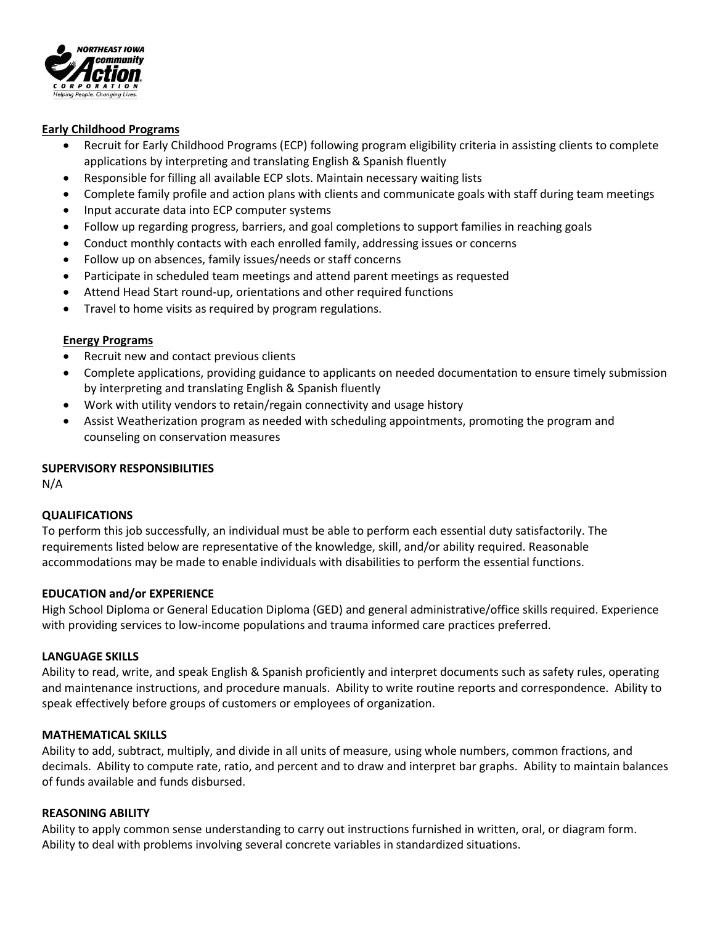

#### **Early Childhood Programs**

- Recruit for Early Childhood Programs (ECP) following program eligibility criteria in assisting clients to complete applications by interpreting and translating English & Spanish fluently
- Responsible for filling all available ECP slots. Maintain necessary waiting lists
- Complete family profile and action plans with clients and communicate goals with staff during team meetings
- Input accurate data into ECP computer systems
- Follow up regarding progress, barriers, and goal completions to support families in reaching goals
- Conduct monthly contacts with each enrolled family, addressing issues or concerns
- Follow up on absences, family issues/needs or staff concerns
- Participate in scheduled team meetings and attend parent meetings as requested
- Attend Head Start round-up, orientations and other required functions
- Travel to home visits as required by program regulations.

## **Energy Programs**

- Recruit new and contact previous clients
- Complete applications, providing guidance to applicants on needed documentation to ensure timely submission by interpreting and translating English & Spanish fluently
- Work with utility vendors to retain/regain connectivity and usage history
- Assist Weatherization program as needed with scheduling appointments, promoting the program and counseling on conservation measures

## **SUPERVISORY RESPONSIBILITIES**

N/A

## **QUALIFICATIONS**

To perform this job successfully, an individual must be able to perform each essential duty satisfactorily. The requirements listed below are representative of the knowledge, skill, and/or ability required. Reasonable accommodations may be made to enable individuals with disabilities to perform the essential functions.

## **EDUCATION and/or EXPERIENCE**

High School Diploma or General Education Diploma (GED) and general administrative/office skills required. Experience with providing services to low-income populations and trauma informed care practices preferred.

#### **LANGUAGE SKILLS**

Ability to read, write, and speak English & Spanish proficiently and interpret documents such as safety rules, operating and maintenance instructions, and procedure manuals. Ability to write routine reports and correspondence. Ability to speak effectively before groups of customers or employees of organization.

#### **MATHEMATICAL SKILLS**

Ability to add, subtract, multiply, and divide in all units of measure, using whole numbers, common fractions, and decimals. Ability to compute rate, ratio, and percent and to draw and interpret bar graphs. Ability to maintain balances of funds available and funds disbursed.

#### **REASONING ABILITY**

Ability to apply common sense understanding to carry out instructions furnished in written, oral, or diagram form. Ability to deal with problems involving several concrete variables in standardized situations.